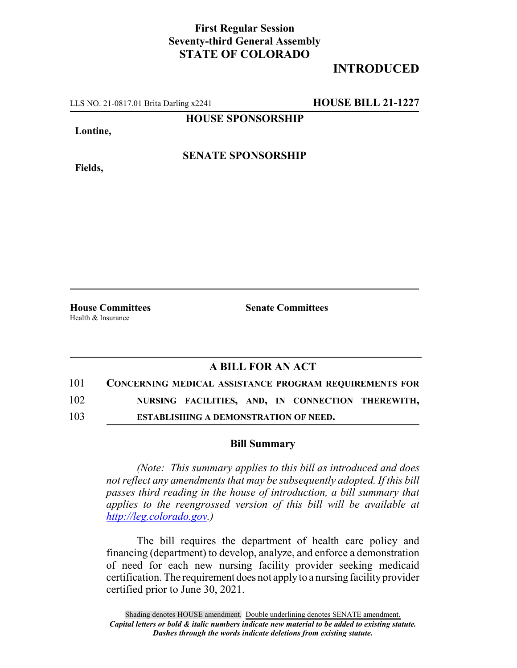## **First Regular Session Seventy-third General Assembly STATE OF COLORADO**

# **INTRODUCED**

LLS NO. 21-0817.01 Brita Darling x2241 **HOUSE BILL 21-1227**

**HOUSE SPONSORSHIP**

**Lontine,**

**Fields,**

**SENATE SPONSORSHIP**

Health & Insurance

**House Committees Senate Committees**

### **A BILL FOR AN ACT**

| 101 | <b>CONCERNING MEDICAL ASSISTANCE PROGRAM REQUIREMENTS FOR</b> |  |  |                                                   |
|-----|---------------------------------------------------------------|--|--|---------------------------------------------------|
| 102 |                                                               |  |  | NURSING FACILITIES, AND, IN CONNECTION THEREWITH, |

103 **ESTABLISHING A DEMONSTRATION OF NEED.**

#### **Bill Summary**

*(Note: This summary applies to this bill as introduced and does not reflect any amendments that may be subsequently adopted. If this bill passes third reading in the house of introduction, a bill summary that applies to the reengrossed version of this bill will be available at http://leg.colorado.gov.)*

The bill requires the department of health care policy and financing (department) to develop, analyze, and enforce a demonstration of need for each new nursing facility provider seeking medicaid certification. The requirement does not apply to a nursing facility provider certified prior to June 30, 2021.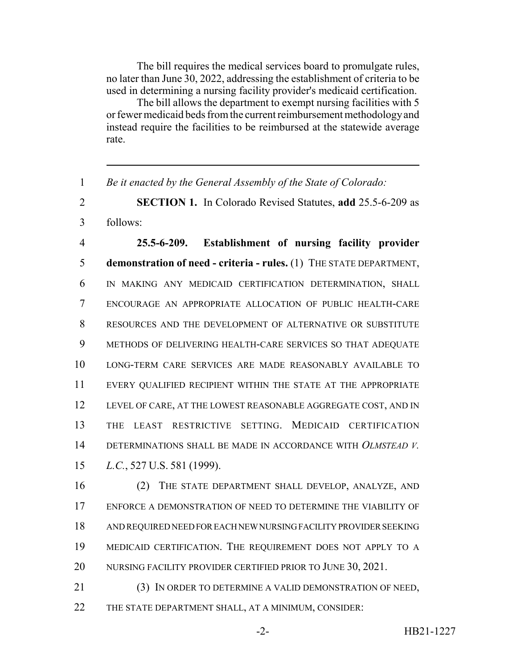The bill requires the medical services board to promulgate rules, no later than June 30, 2022, addressing the establishment of criteria to be used in determining a nursing facility provider's medicaid certification.

The bill allows the department to exempt nursing facilities with 5 or fewer medicaid beds from the current reimbursement methodology and instead require the facilities to be reimbursed at the statewide average rate.

*Be it enacted by the General Assembly of the State of Colorado:*

 **SECTION 1.** In Colorado Revised Statutes, **add** 25.5-6-209 as follows:

 **25.5-6-209. Establishment of nursing facility provider demonstration of need - criteria - rules.** (1) THE STATE DEPARTMENT, IN MAKING ANY MEDICAID CERTIFICATION DETERMINATION, SHALL ENCOURAGE AN APPROPRIATE ALLOCATION OF PUBLIC HEALTH-CARE RESOURCES AND THE DEVELOPMENT OF ALTERNATIVE OR SUBSTITUTE METHODS OF DELIVERING HEALTH-CARE SERVICES SO THAT ADEQUATE LONG-TERM CARE SERVICES ARE MADE REASONABLY AVAILABLE TO EVERY QUALIFIED RECIPIENT WITHIN THE STATE AT THE APPROPRIATE LEVEL OF CARE, AT THE LOWEST REASONABLE AGGREGATE COST, AND IN THE LEAST RESTRICTIVE SETTING. MEDICAID CERTIFICATION DETERMINATIONS SHALL BE MADE IN ACCORDANCE WITH *OLMSTEAD V. L.C.*, 527 U.S. 581 (1999).

 (2) THE STATE DEPARTMENT SHALL DEVELOP, ANALYZE, AND ENFORCE A DEMONSTRATION OF NEED TO DETERMINE THE VIABILITY OF AND REQUIRED NEED FOR EACH NEW NURSING FACILITY PROVIDER SEEKING MEDICAID CERTIFICATION. THE REQUIREMENT DOES NOT APPLY TO A 20 NURSING FACILITY PROVIDER CERTIFIED PRIOR TO JUNE 30, 2021.

 (3) IN ORDER TO DETERMINE A VALID DEMONSTRATION OF NEED, THE STATE DEPARTMENT SHALL, AT A MINIMUM, CONSIDER: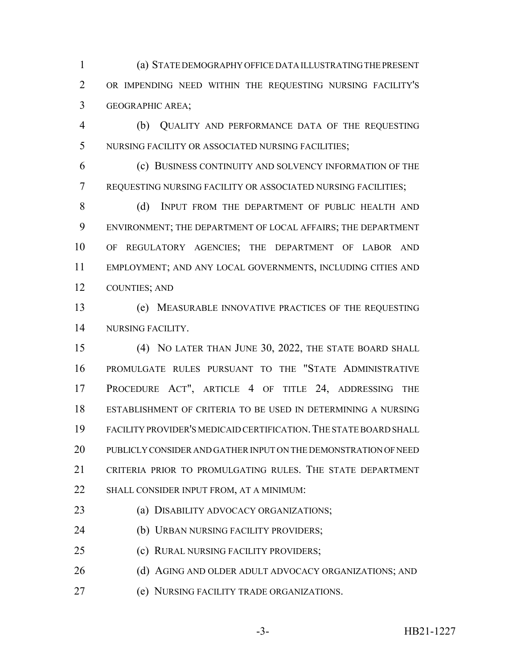(a) STATE DEMOGRAPHY OFFICE DATA ILLUSTRATING THE PRESENT OR IMPENDING NEED WITHIN THE REQUESTING NURSING FACILITY'S GEOGRAPHIC AREA;

 (b) QUALITY AND PERFORMANCE DATA OF THE REQUESTING NURSING FACILITY OR ASSOCIATED NURSING FACILITIES;

 (c) BUSINESS CONTINUITY AND SOLVENCY INFORMATION OF THE REQUESTING NURSING FACILITY OR ASSOCIATED NURSING FACILITIES;

8 (d) INPUT FROM THE DEPARTMENT OF PUBLIC HEALTH AND ENVIRONMENT; THE DEPARTMENT OF LOCAL AFFAIRS; THE DEPARTMENT OF REGULATORY AGENCIES; THE DEPARTMENT OF LABOR AND EMPLOYMENT; AND ANY LOCAL GOVERNMENTS, INCLUDING CITIES AND COUNTIES; AND

 (e) MEASURABLE INNOVATIVE PRACTICES OF THE REQUESTING NURSING FACILITY.

 (4) NO LATER THAN JUNE 30, 2022, THE STATE BOARD SHALL PROMULGATE RULES PURSUANT TO THE "STATE ADMINISTRATIVE PROCEDURE ACT", ARTICLE 4 OF TITLE 24, ADDRESSING THE ESTABLISHMENT OF CRITERIA TO BE USED IN DETERMINING A NURSING FACILITY PROVIDER'S MEDICAID CERTIFICATION.THE STATE BOARD SHALL PUBLICLY CONSIDER AND GATHER INPUT ON THE DEMONSTRATION OF NEED CRITERIA PRIOR TO PROMULGATING RULES. THE STATE DEPARTMENT 22 SHALL CONSIDER INPUT FROM, AT A MINIMUM:

(a) DISABILITY ADVOCACY ORGANIZATIONS;

(b) URBAN NURSING FACILITY PROVIDERS;

(c) RURAL NURSING FACILITY PROVIDERS;

26 (d) AGING AND OLDER ADULT ADVOCACY ORGANIZATIONS; AND

(e) NURSING FACILITY TRADE ORGANIZATIONS.

-3- HB21-1227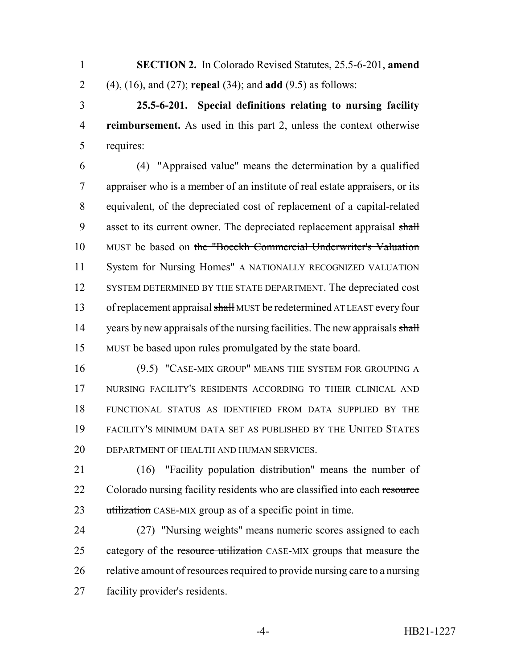**SECTION 2.** In Colorado Revised Statutes, 25.5-6-201, **amend** (4), (16), and (27); **repeal** (34); and **add** (9.5) as follows:

 **25.5-6-201. Special definitions relating to nursing facility reimbursement.** As used in this part 2, unless the context otherwise requires:

 (4) "Appraised value" means the determination by a qualified appraiser who is a member of an institute of real estate appraisers, or its equivalent, of the depreciated cost of replacement of a capital-related 9 asset to its current owner. The depreciated replacement appraisal shall MUST be based on the "Boeckh Commercial Underwriter's Valuation 11 System for Nursing Homes" A NATIONALLY RECOGNIZED VALUATION 12 SYSTEM DETERMINED BY THE STATE DEPARTMENT. The depreciated cost 13 of replacement appraisal shall MUST be redetermined AT LEAST every four 14 years by new appraisals of the nursing facilities. The new appraisals shall MUST be based upon rules promulgated by the state board.

 (9.5) "CASE-MIX GROUP" MEANS THE SYSTEM FOR GROUPING A NURSING FACILITY'S RESIDENTS ACCORDING TO THEIR CLINICAL AND FUNCTIONAL STATUS AS IDENTIFIED FROM DATA SUPPLIED BY THE FACILITY'S MINIMUM DATA SET AS PUBLISHED BY THE UNITED STATES DEPARTMENT OF HEALTH AND HUMAN SERVICES.

 (16) "Facility population distribution" means the number of 22 Colorado nursing facility residents who are classified into each resource 23 utilization CASE-MIX group as of a specific point in time.

 (27) "Nursing weights" means numeric scores assigned to each 25 category of the resource utilization CASE-MIX groups that measure the relative amount of resources required to provide nursing care to a nursing facility provider's residents.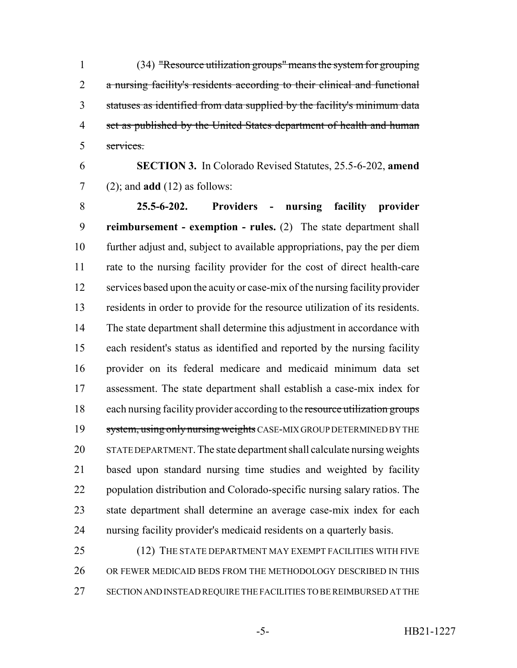(34) "Resource utilization groups" means the system for grouping a nursing facility's residents according to their clinical and functional statuses as identified from data supplied by the facility's minimum data 4 set as published by the United States department of health and human services.

 **SECTION 3.** In Colorado Revised Statutes, 25.5-6-202, **amend** (2); and **add** (12) as follows:

 **25.5-6-202. Providers - nursing facility provider reimbursement - exemption - rules.** (2) The state department shall further adjust and, subject to available appropriations, pay the per diem rate to the nursing facility provider for the cost of direct health-care services based upon the acuity or case-mix of the nursing facility provider residents in order to provide for the resource utilization of its residents. The state department shall determine this adjustment in accordance with each resident's status as identified and reported by the nursing facility provider on its federal medicare and medicaid minimum data set assessment. The state department shall establish a case-mix index for 18 each nursing facility provider according to the resource utilization groups 19 system, using only nursing weights CASE-MIX GROUP DETERMINED BY THE STATE DEPARTMENT. The state department shall calculate nursing weights based upon standard nursing time studies and weighted by facility population distribution and Colorado-specific nursing salary ratios. The state department shall determine an average case-mix index for each nursing facility provider's medicaid residents on a quarterly basis.

25 (12) THE STATE DEPARTMENT MAY EXEMPT FACILITIES WITH FIVE OR FEWER MEDICAID BEDS FROM THE METHODOLOGY DESCRIBED IN THIS SECTION AND INSTEAD REQUIRE THE FACILITIES TO BE REIMBURSED AT THE